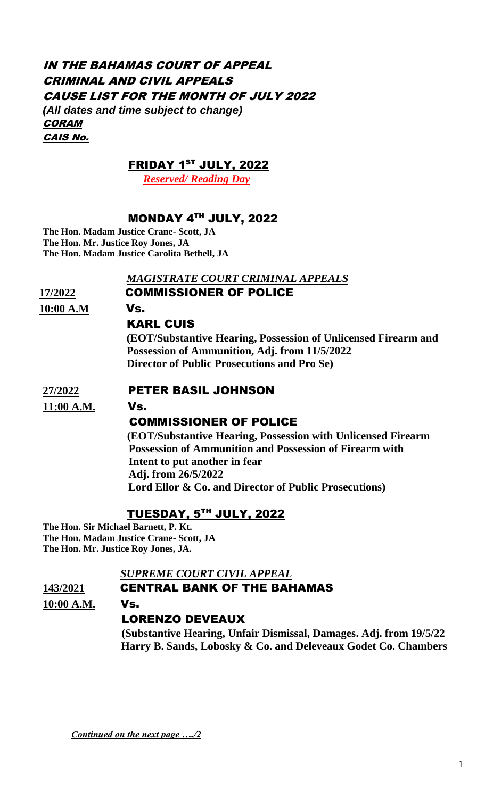## IN THE BAHAMAS COURT OF APPEAL CRIMINAL AND CIVIL APPEALS CAUSE LIST FOR THE MONTH OF JULY 2022 *(All dates and time subject to change)* **CORAM** CAIS No.

#### FRIDAY 1 ST JULY, 2022

 *Reserved/ Reading Day*

## MONDAY 4 TH JULY, 2022

**The Hon. Madam Justice Crane- Scott, JA The Hon. Mr. Justice Roy Jones, JA The Hon. Madam Justice Carolita Bethell, JA**

#### *MAGISTRATE COURT CRIMINAL APPEALS*

## **17/2022** COMMISSIONER OF POLICE

**10:00 A.M** Vs.

#### KARL CUIS

 **(EOT/Substantive Hearing, Possession of Unlicensed Firearm and Possession of Ammunition, Adj. from 11/5/2022 Director of Public Prosecutions and Pro Se)** 

#### **27/2022** PETER BASIL JOHNSON

**11:00 A.M.** Vs.

# COMMISSIONER OF POLICE

 **(EOT/Substantive Hearing, Possession with Unlicensed Firearm Possession of Ammunition and Possession of Firearm with Intent to put another in fear Adj. from 26/5/2022 Lord Ellor & Co. and Director of Public Prosecutions)**

#### TUESDAY, 5 TH JULY, 2022

**The Hon. Sir Michael Barnett, P. Kt. The Hon. Madam Justice Crane- Scott, JA The Hon. Mr. Justice Roy Jones, JA.**

#### *SUPREME COURT CIVIL APPEAL*

#### **143/2021** CENTRAL BANK OF THE BAHAMAS

**10:00 A.M.** Vs.

#### LORENZO DEVEAUX

 **(Substantive Hearing, Unfair Dismissal, Damages. Adj. from 19/5/22 Harry B. Sands, Lobosky & Co. and Deleveaux Godet Co. Chambers**

*Continued on the next page …./2*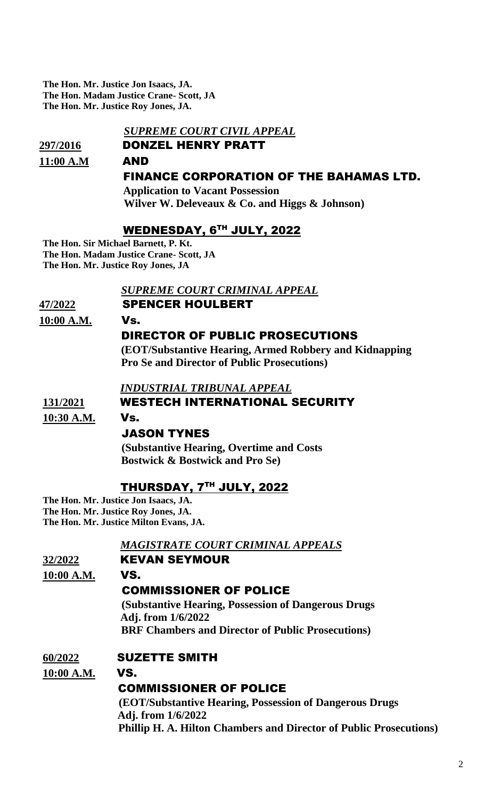**The Hon. Mr. Justice Jon Isaacs, JA. The Hon. Madam Justice Crane- Scott, JA The Hon. Mr. Justice Roy Jones, JA.**

#### *SUPREME COURT CIVIL APPEAL*

# **297/2016** DONZEL HENRY PRATT **11:00 A.M** AND FINANCE CORPORATION OF THE BAHAMAS LTD.

 **Application to Vacant Possession Wilver W. Deleveaux & Co. and Higgs & Johnson)** 

#### WEDNESDAY, 6 TH JULY, 2022

**The Hon. Sir Michael Barnett, P. Kt. The Hon. Madam Justice Crane- Scott, JA The Hon. Mr. Justice Roy Jones, JA**

#### *SUPREME COURT CRIMINAL APPEAL*

**47/2022** SPENCER HOULBERT

#### **10:00 A.M.** Vs.DIRECTOR OF PUBLIC PROSECUTIONS

 **(EOT/Substantive Hearing, Armed Robbery and Kidnapping Pro Se and Director of Public Prosecutions)**

 *INDUSTRIAL TRIBUNAL APPEAL* 

#### **131/2021** WESTECH INTERNATIONAL SECURITY

**10:30 A.M.** Vs.

#### JASON TYNES

 **(Substantive Hearing, Overtime and Costs Bostwick & Bostwick and Pro Se)**

## THURSDAY, 7 TH JULY, 2022

**The Hon. Mr. Justice Jon Isaacs, JA. The Hon. Mr. Justice Roy Jones, JA. The Hon. Mr. Justice Milton Evans, JA.**

#### *MAGISTRATE COURT CRIMINAL APPEALS*

#### **32/2022** KEVAN SEYMOUR

**10:00 A.M.** VS.

#### COMMISSIONER OF POLICE

 **(Substantive Hearing, Possession of Dangerous Drugs Adj. from 1/6/2022 BRF Chambers and Director of Public Prosecutions)**

# **60/2022** SUZETTE SMITH

#### **10:00 A.M.** VS.

# COMMISSIONER OF POLICE

 **(EOT/Substantive Hearing, Possession of Dangerous Drugs Adj. from 1/6/2022 Phillip H. A. Hilton Chambers and Director of Public Prosecutions)**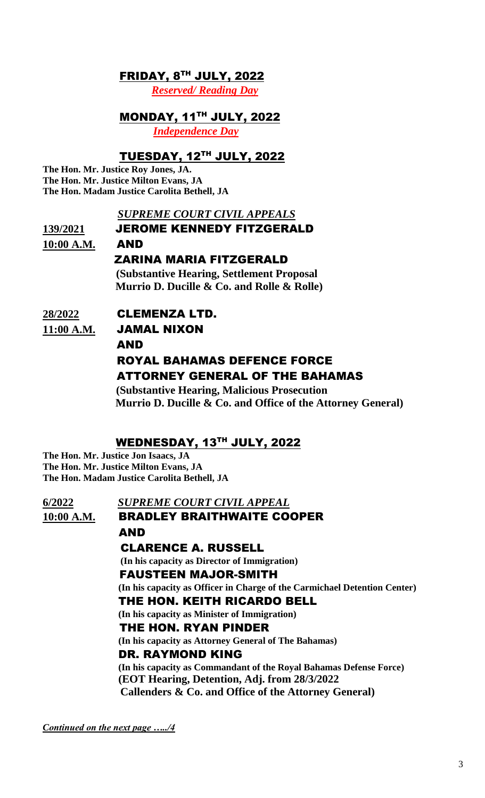#### FRIDAY, 8 TH JULY, 2022

 *Reserved/ Reading Day*

## MONDAY, 11 TH JULY, 2022

 *Independence Day* 

## TUESDAY, 12TH JULY, 2022

**The Hon. Mr. Justice Roy Jones, JA. The Hon. Mr. Justice Milton Evans, JA The Hon. Madam Justice Carolita Bethell, JA**

#### *SUPREME COURT CIVIL APPEALS*

# **139/2021** JEROME KENNEDY FITZGERALD

**10:00 A.M.** AND ZARINA MARIA FITZGERALD  **(Substantive Hearing, Settlement Proposal Murrio D. Ducille & Co. and Rolle & Rolle)**

# **28/2022** CLEMENZA LTD.

**11:00 A.M.** JAMAL NIXON

#### AND

# ROYAL BAHAMAS DEFENCE FORCE ATTORNEY GENERAL OF THE BAHAMAS

 **(Substantive Hearing, Malicious Prosecution Murrio D. Ducille & Co. and Office of the Attorney General)**

#### WEDNESDAY, 13 TH JULY, 2022

**The Hon. Mr. Justice Jon Isaacs, JA The Hon. Mr. Justice Milton Evans, JA The Hon. Madam Justice Carolita Bethell, JA**

| 6/2022     | <b>SUPREME COURT CIVIL APPEAL</b>                                         |
|------------|---------------------------------------------------------------------------|
| 10:00 A.M. | <b>BRADLEY BRAITHWAITE COOPER</b>                                         |
|            | AND                                                                       |
|            | <b>CLARENCE A. RUSSELL</b>                                                |
|            | (In his capacity as Director of Immigration)                              |
|            | <b>FAUSTEEN MAJOR-SMITH</b>                                               |
|            | (In his capacity as Officer in Charge of the Carmichael Detention Center) |
|            | THE HON. KEITH RICARDO BELL                                               |
|            | (In his capacity as Minister of Immigration)                              |
|            | THE HON. RYAN PINDER                                                      |
|            | (In his capacity as Attorney General of The Bahamas)                      |
|            | DR. RAYMOND KING                                                          |
|            | (In his capacity as Commandant of the Royal Bahamas Defense Force)        |
|            | (EOT Hearing, Detention, Adj. from 28/3/2022)                             |
|            | Callenders & Co. and Office of the Attorney General)                      |

*Continued on the next page …../4*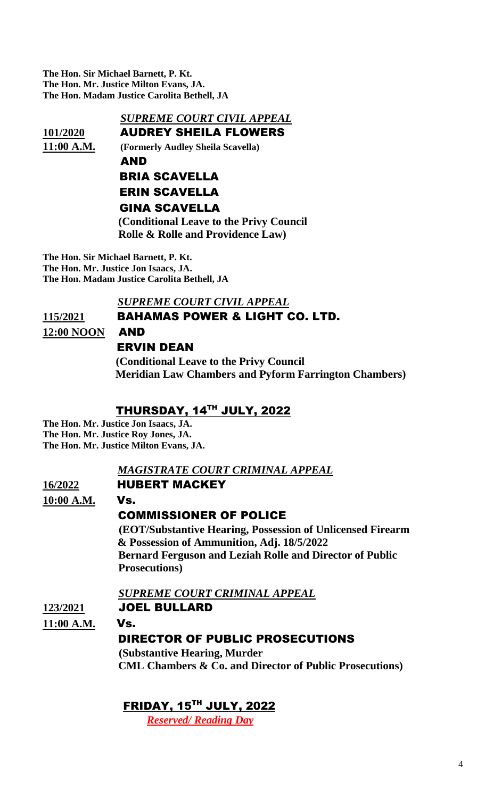**The Hon. Sir Michael Barnett, P. Kt. The Hon. Mr. Justice Milton Evans, JA. The Hon. Madam Justice Carolita Bethell, JA**

#### *SUPREME COURT CIVIL APPEAL*

**101/2020** AUDREY SHEILA FLOWERS

**11:00 A.M. (Formerly Audley Sheila Scavella)**

## AND BRIA SCAVELLA ERIN SCAVELLA GINA SCAVELLA

 **(Conditional Leave to the Privy Council Rolle & Rolle and Providence Law)** 

**The Hon. Sir Michael Barnett, P. Kt. The Hon. Mr. Justice Jon Isaacs, JA. The Hon. Madam Justice Carolita Bethell, JA**

## *SUPREME COURT CIVIL APPEAL*

#### **115/2021** BAHAMAS POWER & LIGHT CO. LTD.

**12:00 NOON** AND

# ERVIN DEAN

 **(Conditional Leave to the Privy Council Meridian Law Chambers and Pyform Farrington Chambers)**

## THURSDAY, 14TH JULY, 2022

**The Hon. Mr. Justice Jon Isaacs, JA. The Hon. Mr. Justice Roy Jones, JA. The Hon. Mr. Justice Milton Evans, JA.**

#### *MAGISTRATE COURT CRIMINAL APPEAL*

#### **16/2022** HUBERT MACKEY

**10:00 A.M.** Vs.

## COMMISSIONER OF POLICE

 **(EOT/Substantive Hearing, Possession of Unlicensed Firearm & Possession of Ammunition, Adj. 18/5/2022 Bernard Ferguson and Leziah Rolle and Director of Public Prosecutions)**

 *SUPREME COURT CRIMINAL APPEAL*

#### **123/2021** JOEL BULLARD

**11:00 A.M.** Vs.

## DIRECTOR OF PUBLIC PROSECUTIONS

 **(Substantive Hearing, Murder CML Chambers & Co. and Director of Public Prosecutions)**

## FRIDAY, 15 TH JULY, 2022

 *Reserved/ Reading Day*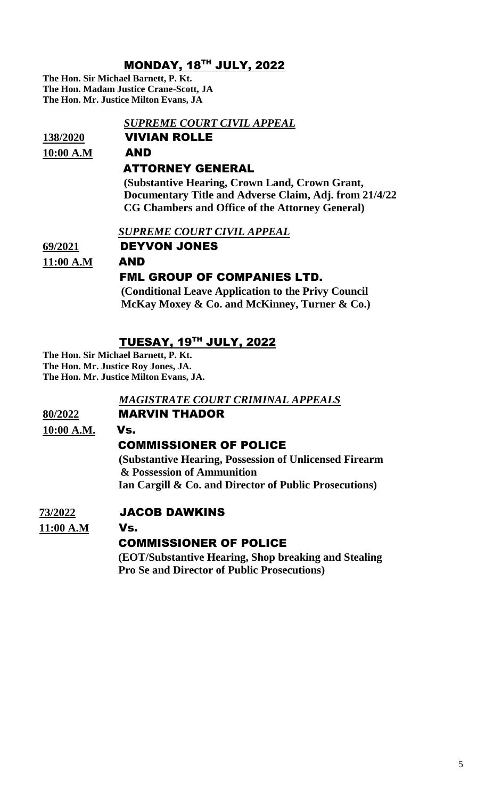## MONDAY, 18 TH JULY, 2022

**The Hon. Sir Michael Barnett, P. Kt. The Hon. Madam Justice Crane-Scott, JA The Hon. Mr. Justice Milton Evans, JA**

# *SUPREME COURT CIVIL APPEAL*  **138/2020** VIVIAN ROLLE **10:00 A.M** AND ATTORNEY GENERAL  **(Substantive Hearing, Crown Land, Crown Grant, Documentary Title and Adverse Claim, Adj. from 21/4/22 CG Chambers and Office of the Attorney General)**

 *SUPREME COURT CIVIL APPEAL* 

**69/2021** DEYVON JONES **11:00 A.M** AND

#### FML GROUP OF COMPANIES LTD.

 **(Conditional Leave Application to the Privy Council McKay Moxey & Co. and McKinney, Turner & Co.)**

# TUESAY, 19 TH JULY, 2022

**The Hon. Sir Michael Barnett, P. Kt. The Hon. Mr. Justice Roy Jones, JA. The Hon. Mr. Justice Milton Evans, JA.**

#### *MAGISTRATE COURT CRIMINAL APPEALS*

#### **80/2022** MARVIN THADOR

**10:00 A.M.** Vs.

## COMMISSIONER OF POLICE

 **(Substantive Hearing, Possession of Unlicensed Firearm & Possession of Ammunition Ian Cargill & Co. and Director of Public Prosecutions)**

#### **73/2022** JACOB DAWKINS

**11:00 A.M** Vs.

## COMMISSIONER OF POLICE

 **(EOT/Substantive Hearing, Shop breaking and Stealing Pro Se and Director of Public Prosecutions)**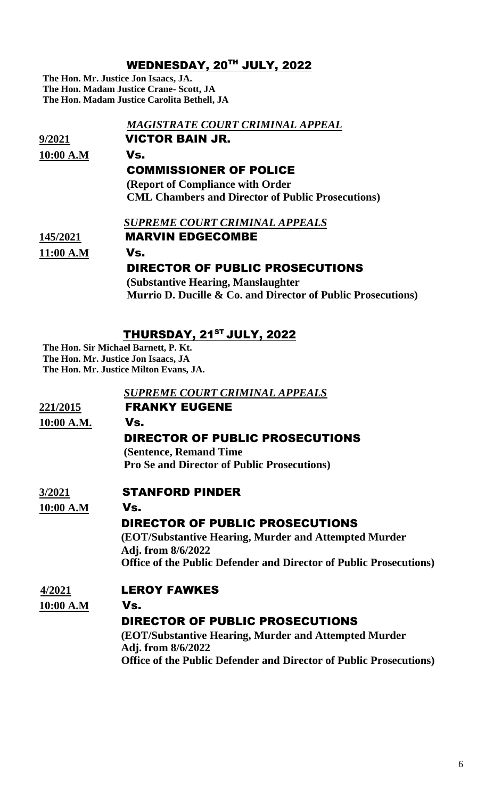## WEDNESDAY, 20 TH JULY, 2022

**The Hon. Mr. Justice Jon Isaacs, JA. The Hon. Madam Justice Crane- Scott, JA The Hon. Madam Justice Carolita Bethell, JA**

|           | MAGISTRATE COURT CRIMINAL APPEAL                             |
|-----------|--------------------------------------------------------------|
| 9/2021    | <b>VICTOR BAIN JR.</b>                                       |
| 10:00 A.M | Vs.                                                          |
|           | <b>COMMISSIONER OF POLICE</b>                                |
|           | <b>(Report of Compliance with Order)</b>                     |
|           | <b>CML Chambers and Director of Public Prosecutions)</b>     |
|           | SUPREME COURT CRIMINAL APPEALS                               |
| 145/2021  | <b>MARVIN EDGECOMBE</b>                                      |
| 11:00 A.M | Vs.                                                          |
|           | <b>DIRECTOR OF PUBLIC PROSECUTIONS</b>                       |
|           | (Substantive Hearing, Manslaughter)                          |
|           | Murrio D. Ducille & Co. and Director of Public Prosecutions) |

# THURSDAY, 21<sup>st</sup> JULY, 2022

**The Hon. Sir Michael Barnett, P. Kt. The Hon. Mr. Justice Jon Isaacs, JA The Hon. Mr. Justice Milton Evans, JA.**

|            | <b>SUPREME COURT CRIMINAL APPEALS</b>                                      |
|------------|----------------------------------------------------------------------------|
| 221/2015   | <b>FRANKY EUGENE</b>                                                       |
| 10:00 A.M. | Vs.                                                                        |
|            | DIRECTOR OF PUBLIC PROSECUTIONS                                            |
|            | (Sentence, Remand Time)                                                    |
|            | <b>Pro Se and Director of Public Prosecutions</b> )                        |
| 3/2021     | <b>STANFORD PINDER</b>                                                     |
| 10:00 A.M  | Vs.                                                                        |
|            | <b>DIRECTOR OF PUBLIC PROSECUTIONS</b>                                     |
|            | <b>(EOT/Substantive Hearing, Murder and Attempted Murder)</b>              |
|            | Adj. from 8/6/2022                                                         |
|            | <b>Office of the Public Defender and Director of Public Prosecutions</b> ) |
| 4/2021     | <b>LEROY FAWKES</b>                                                        |
| 10:00 A.M  | Vs.                                                                        |
|            | <b>DIRECTOR OF PUBLIC PROSECUTIONS</b>                                     |
|            | <b>(EOT/Substantive Hearing, Murder and Attempted Murder)</b>              |
|            | Adj. from 8/6/2022                                                         |
|            | <b>Office of the Public Defender and Director of Public Prosecutions</b> ) |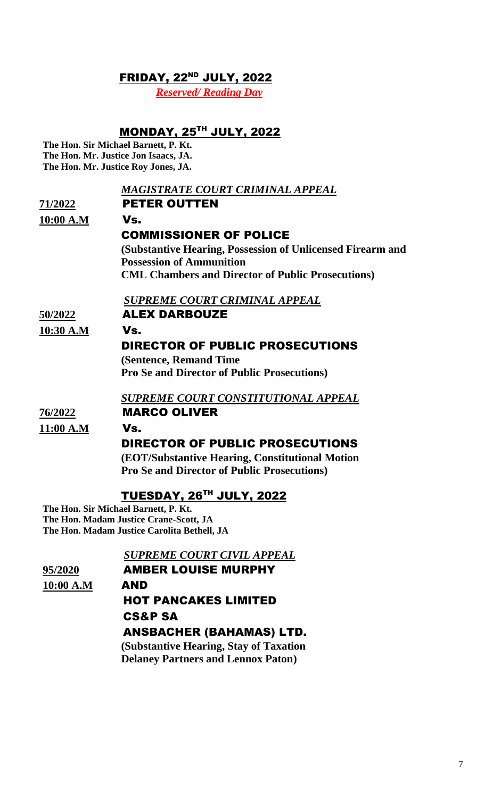#### FRIDAY, 22<sup>ND</sup> JULY, 2022

*Reserved/ Reading Day*

## MONDAY, 25 TH JULY, 2022

**The Hon. Sir Michael Barnett, P. Kt. The Hon. Mr. Justice Jon Isaacs, JA. The Hon. Mr. Justice Roy Jones, JA.**

|           | <u>MAGISTRATE COURT CRIMINAL APPEAL</u>                    |
|-----------|------------------------------------------------------------|
| 71/2022   | <b>PETER OUTTEN</b>                                        |
| 10:00 A.M | Vs.                                                        |
|           | <b>COMMISSIONER OF POLICE</b>                              |
|           | (Substantive Hearing, Possession of Unlicensed Firearm and |
|           | <b>Possession of Ammunition</b>                            |
|           | <b>CML Chambers and Director of Public Prosecutions</b> )  |
|           | <b>SUPREME COURT CRIMINAL APPEAL</b>                       |
| 50/2022   | <b>ALEX DARBOUZE</b>                                       |
| 10:30 A.M | Vs.                                                        |
|           | DIRECTOR OF PUBLIC PROSECUTIONS                            |
|           | (Sentence, Remand Time)                                    |
|           | <b>Pro Se and Director of Public Prosecutions)</b>         |
|           | SUPREME COURT CONSTITUTIONAL APPEAL                        |
| 76/2022   | <b>MARCO OLIVER</b>                                        |
| 11:00 A.M | Vs.                                                        |
|           | DIRECTOR OF PUBLIC PROSECUTIONS                            |
|           | (EOT/Substantive Hearing, Constitutional Motion            |
|           | <b>Pro Se and Director of Public Prosecutions)</b>         |
|           | TUESDAY, 26TH JULY, 2022                                   |

**The Hon. Sir Michael Barnett, P. Kt. The Hon. Madam Justice Crane-Scott, JA The Hon. Madam Justice Carolita Bethell, JA**

 *SUPREME COURT CIVIL APPEAL*  **95/2020** AMBER LOUISE MURPHY **10:00 A.M** AND HOT PANCAKES LIMITED CS&P SA ANSBACHER (BAHAMAS) LTD.  **(Substantive Hearing, Stay of Taxation Delaney Partners and Lennox Paton)**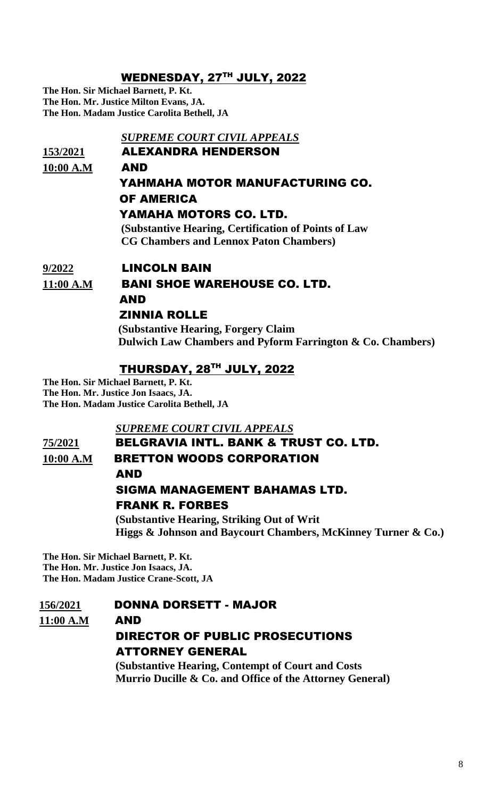## WEDNESDAY, 27TH JULY, 2022

**The Hon. Sir Michael Barnett, P. Kt. The Hon. Mr. Justice Milton Evans, JA. The Hon. Madam Justice Carolita Bethell, JA**

 *SUPREME COURT CIVIL APPEALS*  **153/2021** ALEXANDRA HENDERSON **10:00 A.M** AND YAHMAHA MOTOR MANUFACTURING CO. OF AMERICA YAMAHA MOTORS CO. LTD.  **(Substantive Hearing, Certification of Points of Law CG Chambers and Lennox Paton Chambers) 9/2022** LINCOLN BAIN **11:00 A.M** BANI SHOE WAREHOUSE CO. LTD.

 AND ZINNIA ROLLE

> **(Substantive Hearing, Forgery Claim Dulwich Law Chambers and Pyform Farrington & Co. Chambers)**

#### THURSDAY, 28 TH JULY, 2022

**The Hon. Sir Michael Barnett, P. Kt. The Hon. Mr. Justice Jon Isaacs, JA. The Hon. Madam Justice Carolita Bethell, JA**

#### *SUPREME COURT CIVIL APPEALS*

#### **75/2021** BELGRAVIA INTL. BANK & TRUST CO. LTD. **10:00 A.M** BRETTON WOODS CORPORATION

AND

# SIGMA MANAGEMENT BAHAMAS LTD. FRANK R. FORBES

 **(Substantive Hearing, Striking Out of Writ Higgs & Johnson and Baycourt Chambers, McKinney Turner & Co.)**

**The Hon. Sir Michael Barnett, P. Kt. The Hon. Mr. Justice Jon Isaacs, JA. The Hon. Madam Justice Crane-Scott, JA**

#### **156/2021** DONNA DORSETT - MAJOR

**11:00 A.M** AND

# DIRECTOR OF PUBLIC PROSECUTIONS ATTORNEY GENERAL

 **(Substantive Hearing, Contempt of Court and Costs Murrio Ducille & Co. and Office of the Attorney General)**